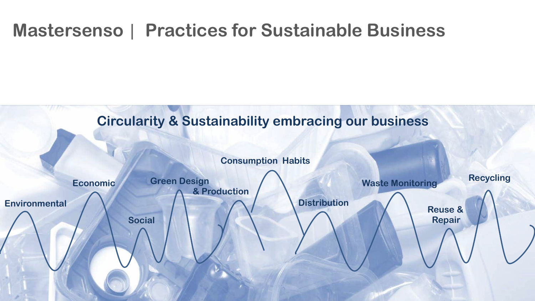# **Mastersenso** | **Practices for Sustainable Business**

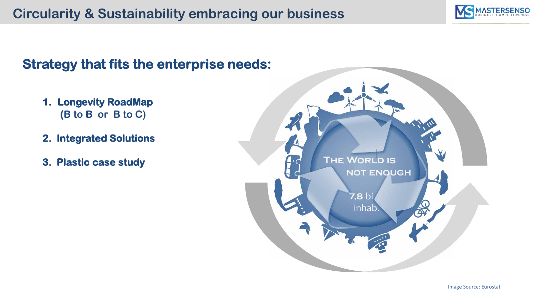

### **Strategy that fits the enterprise needs:**

- **1. Longevity RoadMap (B to B or B to C)**
- **2. Integrated Solutions**
- **3. Plastic case study**

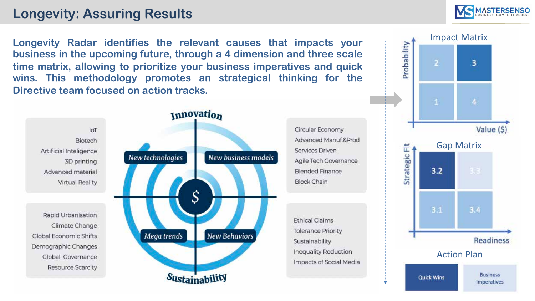# **Longevity: Assuring Results**

**Longevity Radar identifies the relevant causes that impacts your business in the upcoming future, through a 4 dimension and three scale time matrix, allowing to prioritize your business imperatives and quick wins. This methodology promotes an strategical thinking for the Directive team focused on action tracks.**



Circular Economy Advanced Manuf.&Prod Services Driven Agile Tech Governance Blended Finance **Block Chain** 

**Ethical Claims Tolerance Priority** Sustainability Inequality Reduction Impacts of Social Media



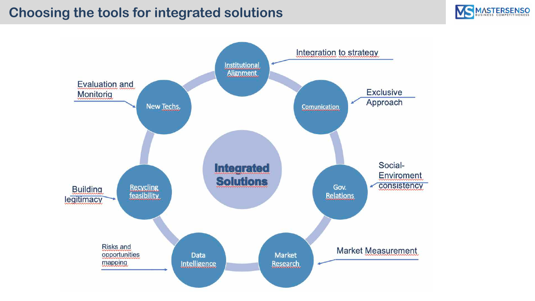## **Choosing the tools for integrated solutions**



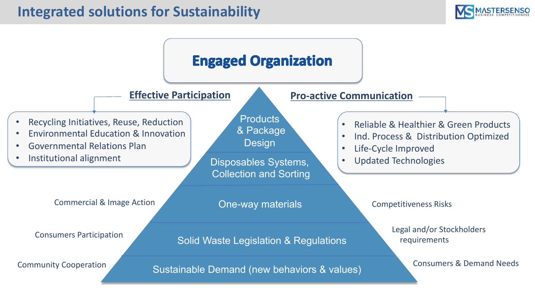

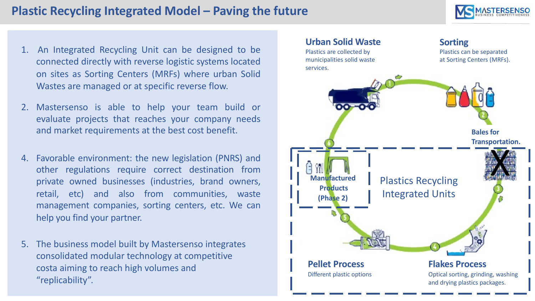#### **Plastic Recycling Integrated Model – Paving the future**



- 1. An Integrated Recycling Unit can be designed to be connected directly with reverse logistic systems located on sites as Sorting Centers (MRFs) where urban Solid Wastes are managed or at specific reverse flow.
- 2. Mastersenso is able to help your team build or evaluate projects that reaches your company needs and market requirements at the best cost benefit.
- 4. Favorable environment: the new legislation (PNRS) and other regulations require correct destination from private owned businesses (industries, brand owners, retail, etc) and also from communities, waste management companies, sorting centers, etc. We can help you find your partner.
- 5. The business model built by Mastersenso integrates consolidated modular technology at competitive costa aiming to reach high volumes and "replicability".

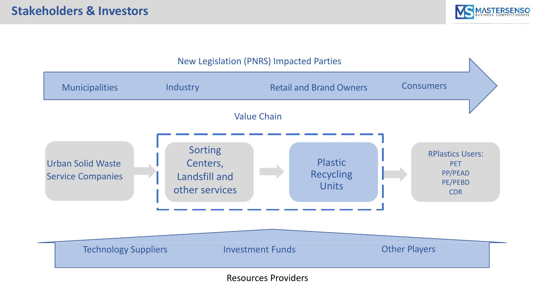